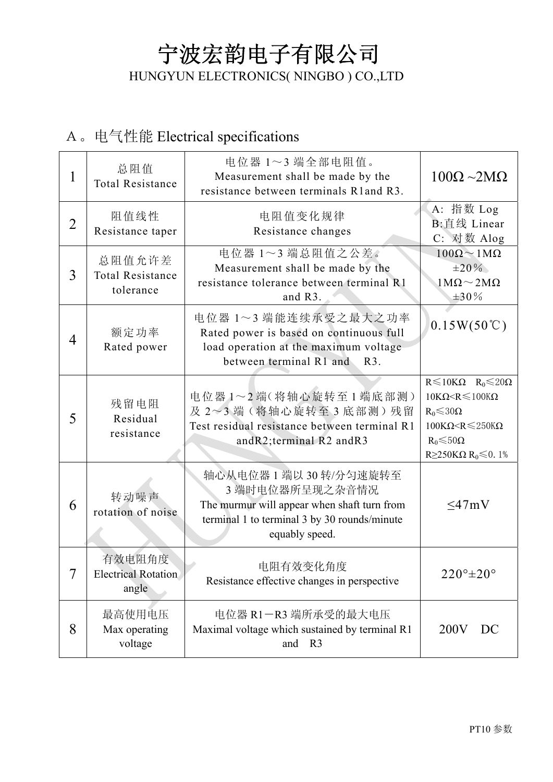## 宁波宏韵电子有限公司 HUNGYUN ELECTRONICS( NINGBO ) CO.,LTD

### A。电气性能 Electrical specifications

| 1              | 总阻值<br><b>Total Resistance</b>                 | 电位器 1~3 端全部电阻值。<br>Measurement shall be made by the<br>resistance between terminals R1 and R3.                                                          | $100\Omega \sim 2M\Omega$                                                                                                                                                                                  |
|----------------|------------------------------------------------|---------------------------------------------------------------------------------------------------------------------------------------------------------|------------------------------------------------------------------------------------------------------------------------------------------------------------------------------------------------------------|
| $\overline{2}$ | 阻值线性<br>Resistance taper                       | 电阻值变化规律<br>Resistance changes                                                                                                                           | A: 指数 Log<br>B:直线 Linear<br>C: 对数 Alog                                                                                                                                                                     |
| 3              | 总阻值允许差<br><b>Total Resistance</b><br>tolerance | 电位器 1~3 端总阻值之公差。<br>Measurement shall be made by the<br>resistance tolerance between terminal R1<br>and $R3$ .                                          | $100\Omega \sim 1 \text{M}\Omega$<br>$\pm 20\%$<br>$1\text{M}\Omega \sim 2\text{M}\Omega$<br>$±30\%$                                                                                                       |
| 4              | 额定功率<br>Rated power                            | 电位器 1~3 端能连续承受之最大之功率<br>Rated power is based on continuous full<br>load operation at the maximum voltage<br>between terminal R1 and<br>$R3$ .           | $0.15W(50^{\circ}\text{C})$                                                                                                                                                                                |
| 5              | 残留电阻<br>Residual<br>resistance                 | 电位器1~2端(将轴心旋转至1端底部测)<br>及 2~3端(将轴心旋转至3底部测)残留<br>Test residual resistance between terminal R1<br>andR2;terminal R2 andR3                                 | $R \le 10K\Omega$ $R_0 \le 20\Omega$<br>$10K\Omega < R \leqslant 100K\Omega$<br>$R_0 \le 30\Omega$<br>$100K\Omega < R \leq 250K\Omega$<br>$R_0 \le 50\Omega$<br>R $\geq$ 250KΩ R <sub>0</sub> $\leq$ 0. 1% |
| 6              | 转动噪声<br>rotation of noise                      | 轴心从电位器1端以30转/分匀速旋转至<br>3 端时电位器所呈现之杂音情况<br>The murmur will appear when shaft turn from<br>terminal 1 to terminal 3 by 30 rounds/minute<br>equably speed. | $\leq$ 47mV                                                                                                                                                                                                |
| 7              | 有效电阻角度<br><b>Electrical Rotation</b><br>angle  | 电阻有效变化角度<br>Resistance effective changes in perspective                                                                                                 | $220^\circ \pm 20^\circ$                                                                                                                                                                                   |
| 8              | 最高使用电压<br>Max operating<br>voltage             | 电位器 R1-R3 端所承受的最大电压<br>Maximal voltage which sustained by terminal R1<br>and R3                                                                         | 200V<br>DC                                                                                                                                                                                                 |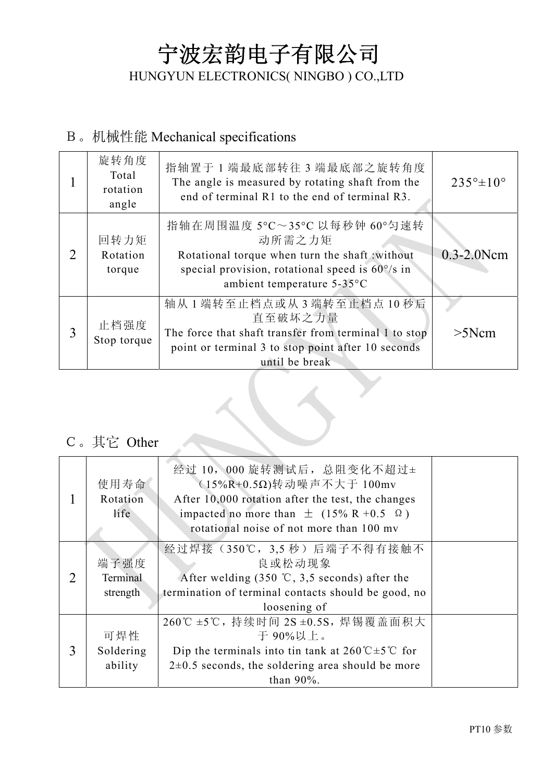## 宁波宏韵电子有限公司 HUNGYUN ELECTRONICS( NINGBO ) CO.,LTD

#### B。机械性能 Mechanical specifications

|   | 旋转角度<br>Total<br>rotation<br>angle | 指轴置于 1 端最底部转往 3 端最底部之旋转角度<br>The angle is measured by rotating shaft from the<br>end of terminal R1 to the end of terminal R3.                                                     | $235^{\circ} \pm 10^{\circ}$ |
|---|------------------------------------|------------------------------------------------------------------------------------------------------------------------------------------------------------------------------------|------------------------------|
| 2 | 回转力矩<br>Rotation<br>torque         | 指轴在周围温度 5°C~35°C 以每秒钟 60°匀速转<br>动所需之力矩<br>Rotational torque when turn the shaft :without<br>special provision, rotational speed is $60^{\circ}/s$ in<br>ambient temperature 5-35°C | $0.3 - 2.0$ Ncm              |
| 3 | 止档强度<br>Stop torque                | 轴从1端转至止档点或从3端转至止档点10秒后<br>直至破坏之力量<br>The force that shaft transfer from terminal 1 to stop<br>point or terminal 3 to stop point after 10 seconds<br>until be break                 | >5Ncm                        |

#### C。其它 Other

|   | 使用寿命<br>Rotation<br>life | 经过 10, 000 旋转测试后, 总阻变化不超过±<br>$(15\%$ R+0.5Ω)转动噪声不大于 100mv<br>After 10,000 rotation after the test, the changes<br>impacted no more than $\pm$ (15% R +0.5 $\Omega$ )<br>rotational noise of not more than 100 my |  |
|---|--------------------------|-------------------------------------------------------------------------------------------------------------------------------------------------------------------------------------------------------------------|--|
|   | 端子强度                     | 经过焊接 (350℃, 3,5 秒) 后端子不得有接触不<br>良或松动现象                                                                                                                                                                            |  |
| 2 | Terminal                 | After welding $(350 \degree \text{C}, 3, 5 \degree \text{seconds})$ after the                                                                                                                                     |  |
|   | strength                 | termination of terminal contacts should be good, no                                                                                                                                                               |  |
|   |                          | loosening of                                                                                                                                                                                                      |  |
|   |                          | 260℃±5℃,持续时间 2S±0.5S,焊锡覆盖面积大                                                                                                                                                                                      |  |
|   | 可焊性                      | 于 90%以上。                                                                                                                                                                                                          |  |
| 3 | Soldering                | Dip the terminals into tin tank at $260^{\circ}C \pm 5^{\circ}C$ for                                                                                                                                              |  |
|   | ability                  | $2\pm0.5$ seconds, the soldering area should be more                                                                                                                                                              |  |
|   |                          | than $90\%$ .                                                                                                                                                                                                     |  |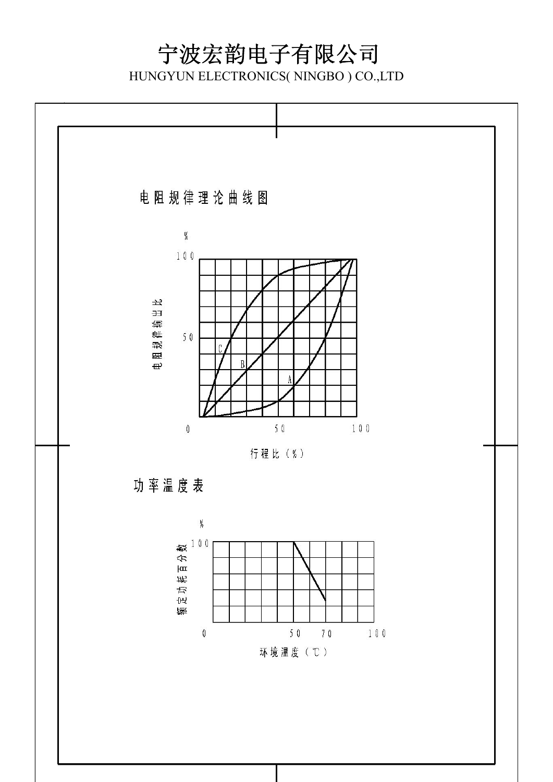## 宁波宏韵电子有限公司

HUNGYUN ELECTRONICS( NINGBO ) CO.,LTD